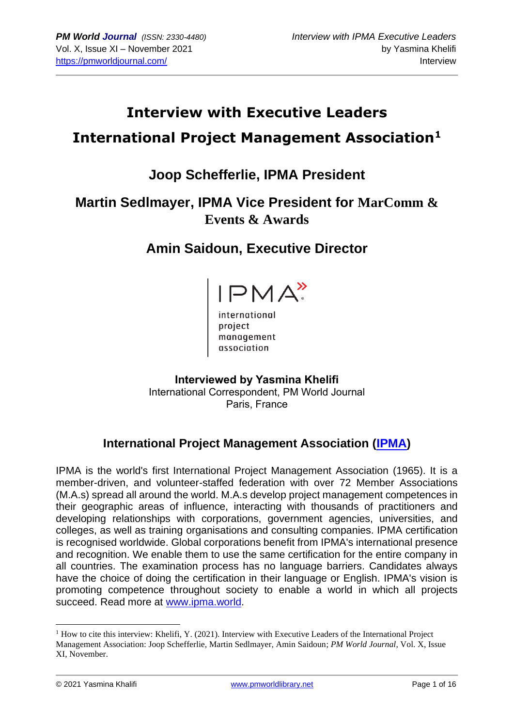## **Interview with Executive Leaders International Project Management Association<sup>1</sup>**

## **Joop Schefferlie, IPMA President**

## **Martin Sedlmayer, IPMA Vice President for MarComm & Events & Awards**

## **Amin Saidoun, Executive Director**



international<br>project<br>proponent management association

**Interviewed by Yasmina Khelifi** International Correspondent, PM World Journal Paris, France

## **International Project Management Association [\(IPMA\)](https://www.ipma.world/)**

IPMA is the world's first International Project Management Association (1965). It is a member-driven, and volunteer-staffed federation with over 72 Member Associations (M.A.s) spread all around the world. M.A.s develop project management competences in their geographic areas of influence, interacting with thousands of practitioners and developing relationships with corporations, government agencies, universities, and colleges, as well as training organisations and consulting companies. IPMA certification is recognised worldwide. Global corporations benefit from IPMA's international presence and recognition. We enable them to use the same certification for the entire company in all countries. The examination process has no language barriers. Candidates always have the choice of doing the certification in their language or English. IPMA's vision is promoting competence throughout society to enable a world in which all projects succeed. Read more at [www.ipma.world.](http://www.ipma.world/)

 $<sup>1</sup>$  How to cite this interview: Khelifi, Y. (2021). Interview with Executive Leaders of the International Project</sup> Management Association: Joop Schefferlie, Martin Sedlmayer, Amin Saidoun; *PM World Journal*, Vol. X, Issue XI, November.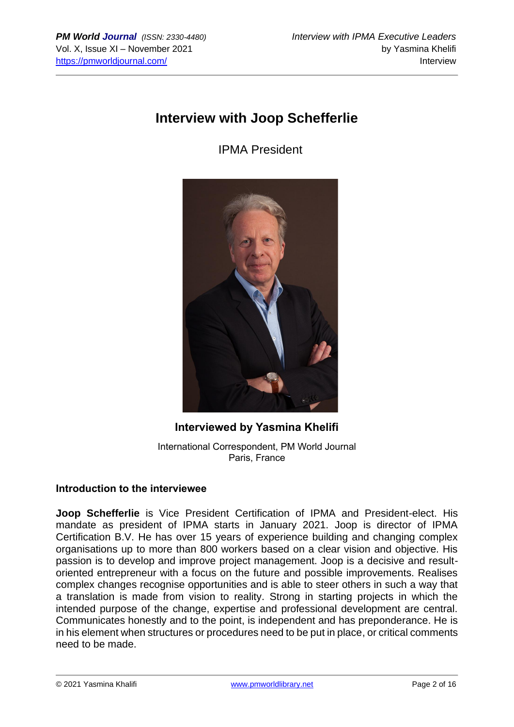## **Interview with Joop Schefferlie**

IPMA President



# **Interviewed by Yasmina Khelifi**

International Correspondent, PM World Journal Paris, France

#### **Introduction to the interviewee**

**Joop Schefferlie** is Vice President Certification of IPMA and President-elect. His mandate as president of IPMA starts in January 2021. Joop is director of IPMA Certification B.V. He has over 15 years of experience building and changing complex organisations up to more than 800 workers based on a clear vision and objective. His passion is to develop and improve project management. Joop is a decisive and resultoriented entrepreneur with a focus on the future and possible improvements. Realises complex changes recognise opportunities and is able to steer others in such a way that a translation is made from vision to reality. Strong in starting projects in which the intended purpose of the change, expertise and professional development are central. Communicates honestly and to the point, is independent and has preponderance. He is in his element when structures or procedures need to be put in place, or critical comments need to be made.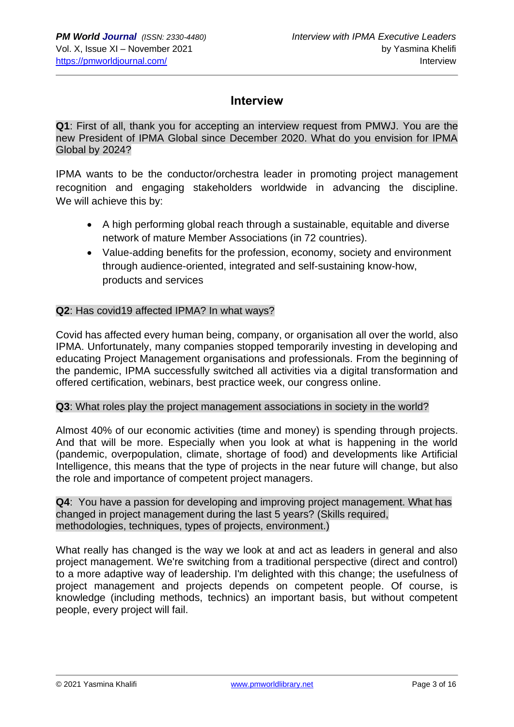## **Interview**

**Q1**: First of all, thank you for accepting an interview request from PMWJ. You are the new President of IPMA Global since December 2020. What do you envision for IPMA Global by 2024?

IPMA wants to be the conductor/orchestra leader in promoting project management recognition and engaging stakeholders worldwide in advancing the discipline. We will achieve this by:

- A high performing global reach through a sustainable, equitable and diverse network of mature Member Associations (in 72 countries).
- Value-adding benefits for the profession, economy, society and environment through audience-oriented, integrated and self-sustaining know-how, products and services

#### **Q2**: Has covid19 affected IPMA? In what ways?

Covid has affected every human being, company, or organisation all over the world, also IPMA. Unfortunately, many companies stopped temporarily investing in developing and educating Project Management organisations and professionals. From the beginning of the pandemic, IPMA successfully switched all activities via a digital transformation and offered certification, webinars, best practice week, our congress online.

#### **Q3**: What roles play the project management associations in society in the world?

Almost 40% of our economic activities (time and money) is spending through projects. And that will be more. Especially when you look at what is happening in the world (pandemic, overpopulation, climate, shortage of food) and developments like Artificial Intelligence, this means that the type of projects in the near future will change, but also the role and importance of competent project managers.

**Q4**: You have a passion for developing and improving project management. What has changed in project management during the last 5 years? (Skills required, methodologies, techniques, types of projects, environment.)

What really has changed is the way we look at and act as leaders in general and also project management. We're switching from a traditional perspective (direct and control) to a more adaptive way of leadership. I'm delighted with this change; the usefulness of project management and projects depends on competent people. Of course, is knowledge (including methods, technics) an important basis, but without competent people, every project will fail.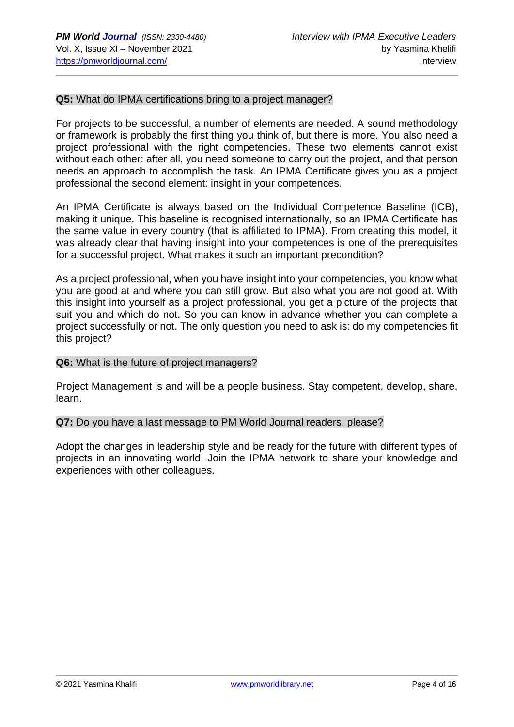#### **Q5:** What do IPMA certifications bring to a project manager?

For projects to be successful, a number of elements are needed. A sound methodology or framework is probably the first thing you think of, but there is more. You also need a project professional with the right competencies. These two elements cannot exist without each other: after all, you need someone to carry out the project, and that person needs an approach to accomplish the task. An IPMA Certificate gives you as a project professional the second element: insight in your competences.

An IPMA Certificate is always based on the Individual Competence Baseline (ICB), making it unique. This baseline is recognised internationally, so an IPMA Certificate has the same value in every country (that is affiliated to IPMA). From creating this model, it was already clear that having insight into your competences is one of the prerequisites for a successful project. What makes it such an important precondition?

As a project professional, when you have insight into your competencies, you know what you are good at and where you can still grow. But also what you are not good at. With this insight into yourself as a project professional, you get a picture of the projects that suit you and which do not. So you can know in advance whether you can complete a project successfully or not. The only question you need to ask is: do my competencies fit this project?

#### **Q6:** What is the future of project managers?

Project Management is and will be a people business. Stay competent, develop, share, learn.

#### **Q7:** Do you have a last message to PM World Journal readers, please?

Adopt the changes in leadership style and be ready for the future with different types of projects in an innovating world. Join the IPMA network to share your knowledge and experiences with other colleagues.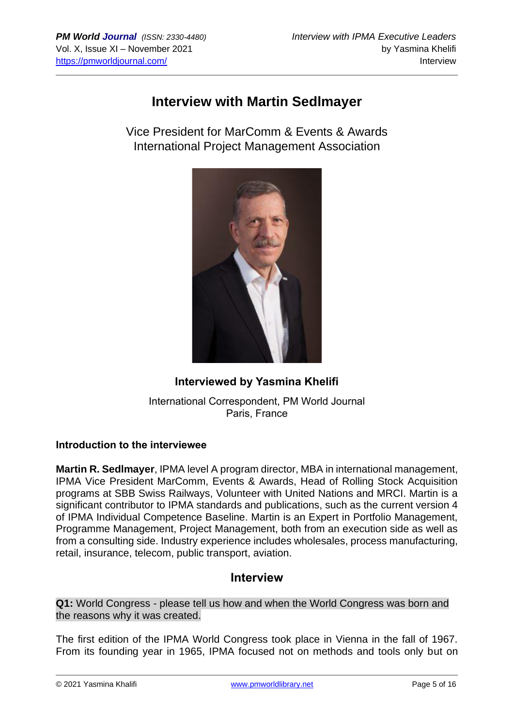## **Interview with Martin Sedlmayer**

Vice President for MarComm & Events & Awards International Project Management Association



## **Interviewed by Yasmina Khelifi**

International Correspondent, PM World Journal Paris, France

#### **Introduction to the interviewee**

**Martin R. Sedlmayer**, IPMA level A program director, MBA in international management, IPMA Vice President MarComm, Events & Awards, Head of Rolling Stock Acquisition programs at SBB Swiss Railways, Volunteer with United Nations and MRCI. Martin is a significant contributor to IPMA standards and publications, such as the current version 4 of IPMA Individual Competence Baseline. Martin is an Expert in Portfolio Management, Programme Management, Project Management, both from an execution side as well as from a consulting side. Industry experience includes wholesales, process manufacturing, retail, insurance, telecom, public transport, aviation.

## **Interview**

**Q1:** World Congress - please tell us how and when the World Congress was born and the reasons why it was created.

The first edition of the IPMA World Congress took place in Vienna in the fall of 1967. From its founding year in 1965, IPMA focused not on methods and tools only but on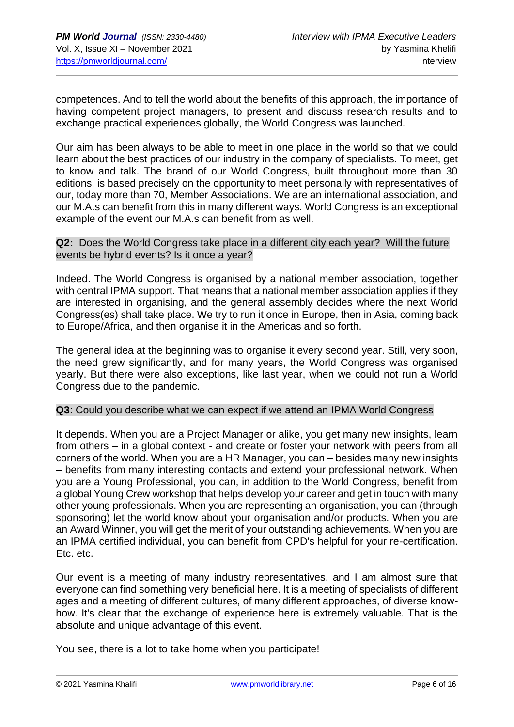competences. And to tell the world about the benefits of this approach, the importance of having competent project managers, to present and discuss research results and to exchange practical experiences globally, the World Congress was launched.

Our aim has been always to be able to meet in one place in the world so that we could learn about the best practices of our industry in the company of specialists. To meet, get to know and talk. The brand of our World Congress, built throughout more than 30 editions, is based precisely on the opportunity to meet personally with representatives of our, today more than 70, Member Associations. We are an international association, and our M.A.s can benefit from this in many different ways. World Congress is an exceptional example of the event our M.A.s can benefit from as well.

#### **Q2:** Does the World Congress take place in a different city each year? Will the future events be hybrid events? Is it once a year?

Indeed. The World Congress is organised by a national member association, together with central IPMA support. That means that a national member association applies if they are interested in organising, and the general assembly decides where the next World Congress(es) shall take place. We try to run it once in Europe, then in Asia, coming back to Europe/Africa, and then organise it in the Americas and so forth.

The general idea at the beginning was to organise it every second year. Still, very soon, the need grew significantly, and for many years, the World Congress was organised yearly. But there were also exceptions, like last year, when we could not run a World Congress due to the pandemic.

#### **Q3**: Could you describe what we can expect if we attend an IPMA World Congress

It depends. When you are a Project Manager or alike, you get many new insights, learn from others – in a global context - and create or foster your network with peers from all corners of the world. When you are a HR Manager, you can – besides many new insights – benefits from many interesting contacts and extend your professional network. When you are a Young Professional, you can, in addition to the World Congress, benefit from a global Young Crew workshop that helps develop your career and get in touch with many other young professionals. When you are representing an organisation, you can (through sponsoring) let the world know about your organisation and/or products. When you are an Award Winner, you will get the merit of your outstanding achievements. When you are an IPMA certified individual, you can benefit from CPD's helpful for your re-certification. Etc. etc.

Our event is a meeting of many industry representatives, and I am almost sure that everyone can find something very beneficial here. It is a meeting of specialists of different ages and a meeting of different cultures, of many different approaches, of diverse knowhow. It's clear that the exchange of experience here is extremely valuable. That is the absolute and unique advantage of this event.

You see, there is a lot to take home when you participate!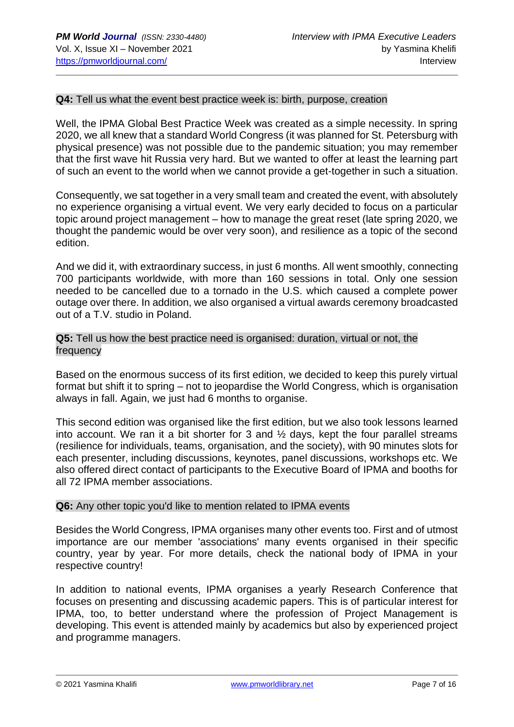#### **Q4:** Tell us what the event best practice week is: birth, purpose, creation

Well, the IPMA Global Best Practice Week was created as a simple necessity. In spring 2020, we all knew that a standard World Congress (it was planned for St. Petersburg with physical presence) was not possible due to the pandemic situation; you may remember that the first wave hit Russia very hard. But we wanted to offer at least the learning part of such an event to the world when we cannot provide a get-together in such a situation.

Consequently, we sat together in a very small team and created the event, with absolutely no experience organising a virtual event. We very early decided to focus on a particular topic around project management – how to manage the great reset (late spring 2020, we thought the pandemic would be over very soon), and resilience as a topic of the second edition.

And we did it, with extraordinary success, in just 6 months. All went smoothly, connecting 700 participants worldwide, with more than 160 sessions in total. Only one session needed to be cancelled due to a tornado in the U.S. which caused a complete power outage over there. In addition, we also organised a virtual awards ceremony broadcasted out of a T.V. studio in Poland.

**Q5:** Tell us how the best practice need is organised: duration, virtual or not, the frequency

Based on the enormous success of its first edition, we decided to keep this purely virtual format but shift it to spring – not to jeopardise the World Congress, which is organisation always in fall. Again, we just had 6 months to organise.

This second edition was organised like the first edition, but we also took lessons learned into account. We ran it a bit shorter for 3 and  $\frac{1}{2}$  days, kept the four parallel streams (resilience for individuals, teams, organisation, and the society), with 90 minutes slots for each presenter, including discussions, keynotes, panel discussions, workshops etc. We also offered direct contact of participants to the Executive Board of IPMA and booths for all 72 IPMA member associations.

#### **Q6:** Any other topic you'd like to mention related to IPMA events

Besides the World Congress, IPMA organises many other events too. First and of utmost importance are our member 'associations' many events organised in their specific country, year by year. For more details, check the national body of IPMA in your respective country!

In addition to national events, IPMA organises a yearly Research Conference that focuses on presenting and discussing academic papers. This is of particular interest for IPMA, too, to better understand where the profession of Project Management is developing. This event is attended mainly by academics but also by experienced project and programme managers.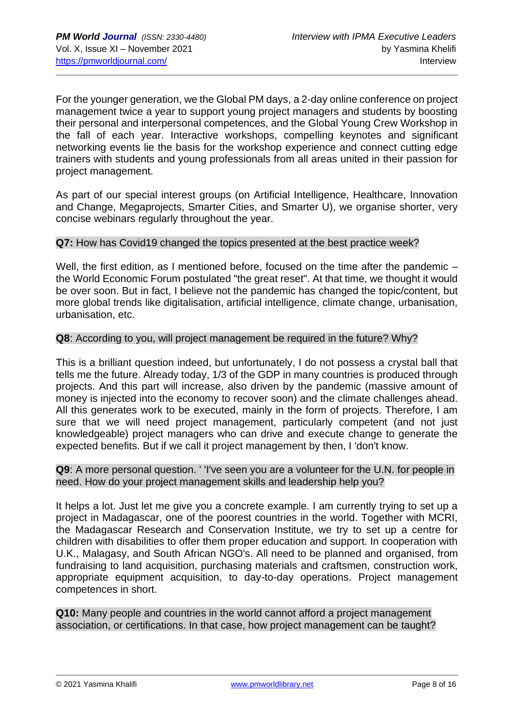For the younger generation, we the Global PM days, a 2-day online conference on project management twice a year to support young project managers and students by boosting their personal and interpersonal competences, and the Global Young Crew Workshop in the fall of each year. Interactive workshops, compelling keynotes and significant networking events lie the basis for the workshop experience and connect cutting edge trainers with students and young professionals from all areas united in their passion for project management.

As part of our special interest groups (on Artificial Intelligence, Healthcare, Innovation and Change, Megaprojects, Smarter Cities, and Smarter U), we organise shorter, very concise webinars regularly throughout the year.

#### **Q7:** How has Covid19 changed the topics presented at the best practice week?

Well, the first edition, as I mentioned before, focused on the time after the pandemic – the World Economic Forum postulated "the great reset". At that time, we thought it would be over soon. But in fact, I believe not the pandemic has changed the topic/content, but more global trends like digitalisation, artificial intelligence, climate change, urbanisation, urbanisation, etc.

#### **Q8**: According to you, will project management be required in the future? Why?

This is a brilliant question indeed, but unfortunately, I do not possess a crystal ball that tells me the future. Already today, 1/3 of the GDP in many countries is produced through projects. And this part will increase, also driven by the pandemic (massive amount of money is injected into the economy to recover soon) and the climate challenges ahead. All this generates work to be executed, mainly in the form of projects. Therefore, I am sure that we will need project management, particularly competent (and not just knowledgeable) project managers who can drive and execute change to generate the expected benefits. But if we call it project management by then, I 'don't know.

#### **Q9**: A more personal question. ' 'I've seen you are a volunteer for the U.N. for people in need. How do your project management skills and leadership help you?

It helps a lot. Just let me give you a concrete example. I am currently trying to set up a project in Madagascar, one of the poorest countries in the world. Together with MCRI, the Madagascar Research and Conservation Institute, we try to set up a centre for children with disabilities to offer them proper education and support. In cooperation with U.K., Malagasy, and South African NGO's. All need to be planned and organised, from fundraising to land acquisition, purchasing materials and craftsmen, construction work, appropriate equipment acquisition, to day-to-day operations. Project management competences in short.

**Q10:** Many people and countries in the world cannot afford a project management association, or certifications. In that case, how project management can be taught?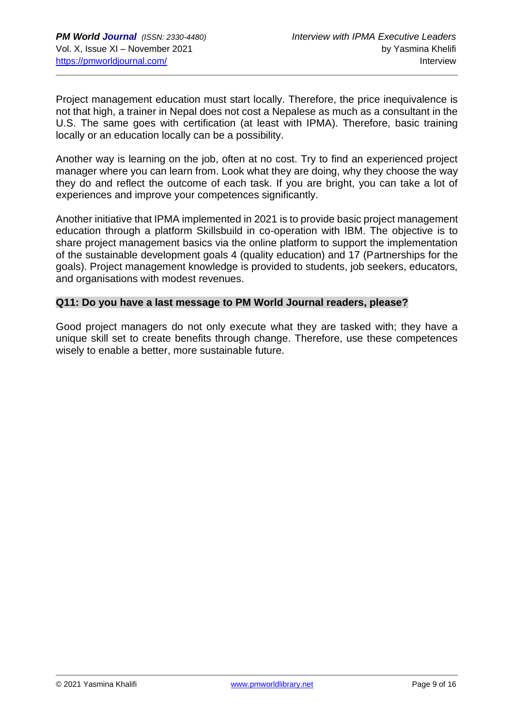Project management education must start locally. Therefore, the price inequivalence is not that high, a trainer in Nepal does not cost a Nepalese as much as a consultant in the U.S. The same goes with certification (at least with IPMA). Therefore, basic training locally or an education locally can be a possibility.

Another way is learning on the job, often at no cost. Try to find an experienced project manager where you can learn from. Look what they are doing, why they choose the way they do and reflect the outcome of each task. If you are bright, you can take a lot of experiences and improve your competences significantly.

Another initiative that IPMA implemented in 2021 is to provide basic project management education through a platform Skillsbuild in co-operation with IBM. The objective is to share project management basics via the online platform to support the implementation of the sustainable development goals 4 (quality education) and 17 (Partnerships for the goals). Project management knowledge is provided to students, job seekers, educators, and organisations with modest revenues.

#### **Q11: Do you have a last message to PM World Journal readers, please?**

Good project managers do not only execute what they are tasked with; they have a unique skill set to create benefits through change. Therefore, use these competences wisely to enable a better, more sustainable future.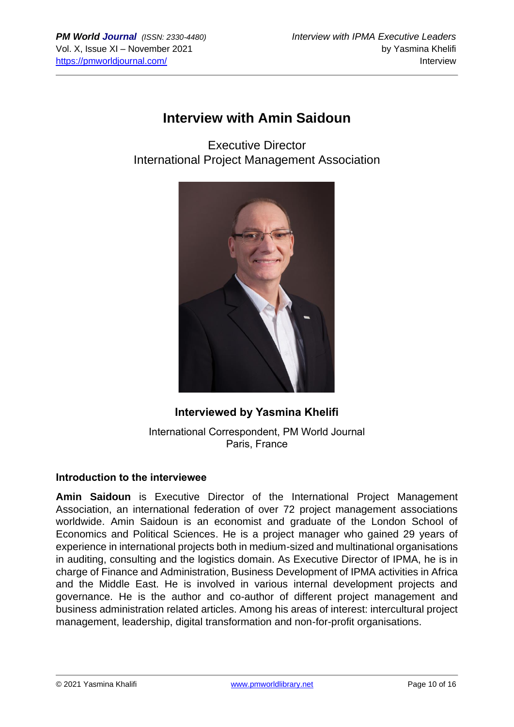## **Interview with Amin Saidoun**

Executive Director International Project Management Association



## **Interviewed by Yasmina Khelifi**

International Correspondent, PM World Journal Paris, France

#### **Introduction to the interviewee**

**Amin Saidoun** is Executive Director of the International Project Management Association, an international federation of over 72 project management associations worldwide. Amin Saidoun is an economist and graduate of the London School of Economics and Political Sciences. He is a project manager who gained 29 years of experience in international projects both in medium-sized and multinational organisations in auditing, consulting and the logistics domain. As Executive Director of IPMA, he is in charge of Finance and Administration, Business Development of IPMA activities in Africa and the Middle East. He is involved in various internal development projects and governance. He is the author and co-author of different project management and business administration related articles. Among his areas of interest: intercultural project management, leadership, digital transformation and non-for-profit organisations.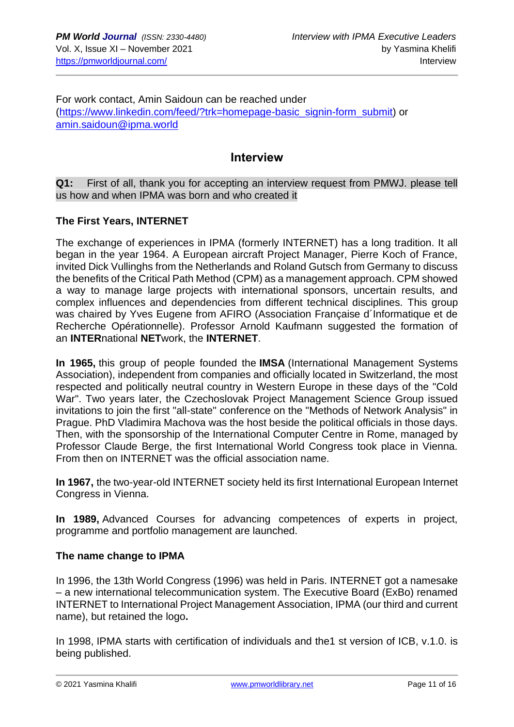For work contact, Amin Saidoun can be reached under [\(https://www.linkedin.com/feed/?trk=homepage-basic\\_signin-form\\_submit\)](https://www.linkedin.com/feed/?trk=homepage-basic_signin-form_submit) or [amin.saidoun@ipma.world](mailto:amin.saidoun@ipma.world)

#### **Interview**

**Q1:** First of all, thank you for accepting an interview request from PMWJ. please tell us how and when IPMA was born and who created it

#### **The First Years, INTERNET**

The exchange of experiences in IPMA (formerly INTERNET) has a long tradition. It all began in the year 1964. A European aircraft Project Manager, Pierre Koch of France, invited Dick Vullinghs from the Netherlands and Roland Gutsch from Germany to discuss the benefits of the Critical Path Method (CPM) as a management approach. CPM showed a way to manage large projects with international sponsors, uncertain results, and complex influences and dependencies from different technical disciplines. This group was chaired by Yves Eugene from AFIRO (Association Française d´Informatique et de Recherche Opérationnelle). Professor Arnold Kaufmann suggested the formation of an **INTER**national **NET**work, the **INTERNET**.

**In 1965,** this group of people founded the **IMSA** (International Management Systems Association), independent from companies and officially located in Switzerland, the most respected and politically neutral country in Western Europe in these days of the "Cold War". Two years later, the Czechoslovak Project Management Science Group issued invitations to join the first "all-state" conference on the "Methods of Network Analysis" in Prague. PhD Vladimira Machova was the host beside the political officials in those days. Then, with the sponsorship of the International Computer Centre in Rome, managed by Professor Claude Berge, the first International World Congress took place in Vienna. From then on INTERNET was the official association name.

**In 1967,** the two-year-old INTERNET society held its first International European Internet Congress in Vienna.

**In 1989,** Advanced Courses for advancing competences of experts in project, programme and portfolio management are launched.

#### **The name change to IPMA**

In 1996, the 13th World Congress (1996) was held in Paris. INTERNET got a namesake – a new international telecommunication system. The Executive Board (ExBo) renamed INTERNET to International Project Management Association, IPMA (our third and current name), but retained the logo**.**

In 1998, IPMA starts with certification of individuals and the1 st version of ICB, v.1.0. is being published.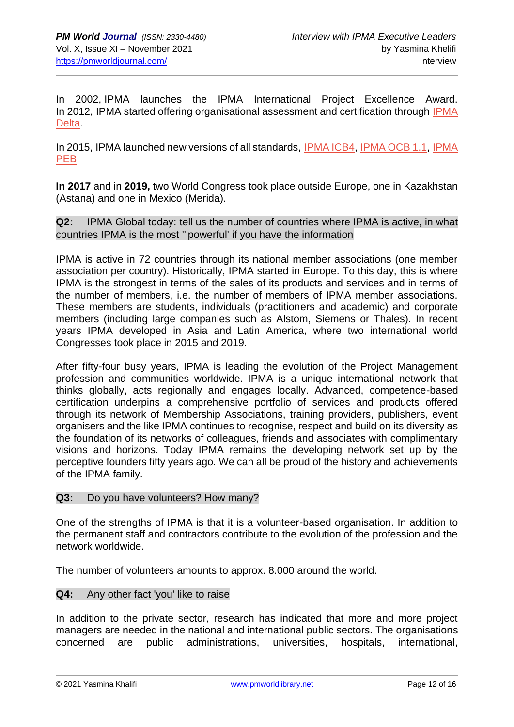In 2002, IPMA launches the IPMA International Project Excellence Award. In 2012, IPMA started offering organisational assessment and certification through [IPMA](http://www.ipma.world/organisations/organisation-certification/delta/)  [Delta.](http://www.ipma.world/organisations/organisation-certification/delta/)

In 2015, IPMA launched new versions of all standards, [IPMA ICB4,](http://www.ipma.world/individuals/standard/) [IPMA OCB 1.1,](http://www.ipma.world/organisations/standards/) [IPMA](http://www.ipma.world/projects/standard/)  [PEB](http://www.ipma.world/projects/standard/)

**In 2017** and in **2019,** two World Congress took place outside Europe, one in Kazakhstan (Astana) and one in Mexico (Merida).

**Q2:** IPMA Global today: tell us the number of countries where IPMA is active, in what countries IPMA is the most '''powerful' if you have the information

IPMA is active in 72 countries through its national member associations (one member association per country). Historically, IPMA started in Europe. To this day, this is where IPMA is the strongest in terms of the sales of its products and services and in terms of the number of members, i.e. the number of members of IPMA member associations. These members are students, individuals (practitioners and academic) and corporate members (including large companies such as Alstom, Siemens or Thales). In recent years IPMA developed in Asia and Latin America, where two international world Congresses took place in 2015 and 2019.

After fifty-four busy years, IPMA is leading the evolution of the Project Management profession and communities worldwide. IPMA is a unique international network that thinks globally, acts regionally and engages locally. Advanced, competence-based certification underpins a comprehensive portfolio of services and products offered through its network of Membership Associations, training providers, publishers, event organisers and the like IPMA continues to recognise, respect and build on its diversity as the foundation of its networks of colleagues, friends and associates with complimentary visions and horizons. Today IPMA remains the developing network set up by the perceptive founders fifty years ago. We can all be proud of the history and achievements of the IPMA family.

#### **Q3:** Do you have volunteers? How many?

One of the strengths of IPMA is that it is a volunteer-based organisation. In addition to the permanent staff and contractors contribute to the evolution of the profession and the network worldwide.

The number of volunteers amounts to approx. 8.000 around the world.

#### **Q4:** Any other fact 'you' like to raise

In addition to the private sector, research has indicated that more and more project managers are needed in the national and international public sectors. The organisations concerned are public administrations, universities, hospitals, international,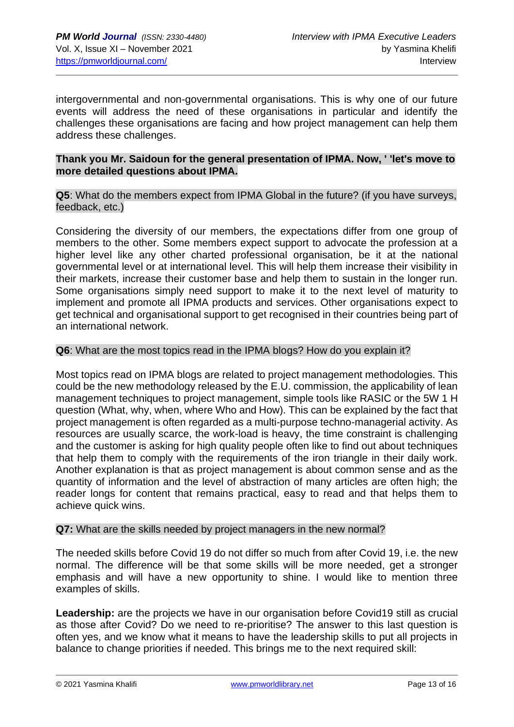intergovernmental and non-governmental organisations. This is why one of our future events will address the need of these organisations in particular and identify the challenges these organisations are facing and how project management can help them address these challenges.

#### **Thank you Mr. Saidoun for the general presentation of IPMA. Now, ' 'let's move to more detailed questions about IPMA.**

**Q5**: What do the members expect from IPMA Global in the future? (if you have surveys, feedback, etc.)

Considering the diversity of our members, the expectations differ from one group of members to the other. Some members expect support to advocate the profession at a higher level like any other charted professional organisation, be it at the national governmental level or at international level. This will help them increase their visibility in their markets, increase their customer base and help them to sustain in the longer run. Some organisations simply need support to make it to the next level of maturity to implement and promote all IPMA products and services. Other organisations expect to get technical and organisational support to get recognised in their countries being part of an international network.

#### **Q6**: What are the most topics read in the IPMA blogs? How do you explain it?

Most topics read on IPMA blogs are related to project management methodologies. This could be the new methodology released by the E.U. commission, the applicability of lean management techniques to project management, simple tools like RASIC or the 5W 1 H question (What, why, when, where Who and How). This can be explained by the fact that project management is often regarded as a multi-purpose techno-managerial activity. As resources are usually scarce, the work-load is heavy, the time constraint is challenging and the customer is asking for high quality people often like to find out about techniques that help them to comply with the requirements of the iron triangle in their daily work. Another explanation is that as project management is about common sense and as the quantity of information and the level of abstraction of many articles are often high; the reader longs for content that remains practical, easy to read and that helps them to achieve quick wins.

#### **Q7:** What are the skills needed by project managers in the new normal?

The needed skills before Covid 19 do not differ so much from after Covid 19, i.e. the new normal. The difference will be that some skills will be more needed, get a stronger emphasis and will have a new opportunity to shine. I would like to mention three examples of skills.

**Leadership:** are the projects we have in our organisation before Covid19 still as crucial as those after Covid? Do we need to re-prioritise? The answer to this last question is often yes, and we know what it means to have the leadership skills to put all projects in balance to change priorities if needed. This brings me to the next required skill: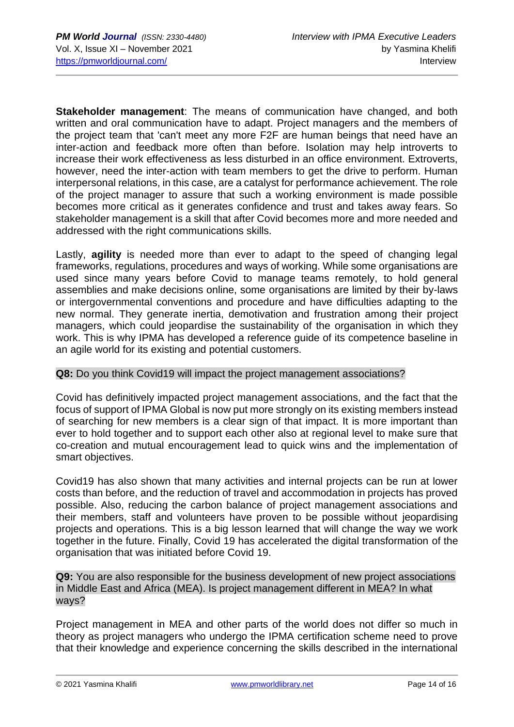**Stakeholder management**: The means of communication have changed, and both written and oral communication have to adapt. Project managers and the members of the project team that 'can't meet any more F2F are human beings that need have an inter-action and feedback more often than before. Isolation may help introverts to increase their work effectiveness as less disturbed in an office environment. Extroverts, however, need the inter-action with team members to get the drive to perform. Human interpersonal relations, in this case, are a catalyst for performance achievement. The role of the project manager to assure that such a working environment is made possible becomes more critical as it generates confidence and trust and takes away fears. So stakeholder management is a skill that after Covid becomes more and more needed and addressed with the right communications skills.

Lastly, **agility** is needed more than ever to adapt to the speed of changing legal frameworks, regulations, procedures and ways of working. While some organisations are used since many years before Covid to manage teams remotely, to hold general assemblies and make decisions online, some organisations are limited by their by-laws or intergovernmental conventions and procedure and have difficulties adapting to the new normal. They generate inertia, demotivation and frustration among their project managers, which could jeopardise the sustainability of the organisation in which they work. This is why IPMA has developed a reference guide of its competence baseline in an agile world for its existing and potential customers.

#### **Q8:** Do you think Covid19 will impact the project management associations?

Covid has definitively impacted project management associations, and the fact that the focus of support of IPMA Global is now put more strongly on its existing members instead of searching for new members is a clear sign of that impact. It is more important than ever to hold together and to support each other also at regional level to make sure that co-creation and mutual encouragement lead to quick wins and the implementation of smart objectives.

Covid19 has also shown that many activities and internal projects can be run at lower costs than before, and the reduction of travel and accommodation in projects has proved possible. Also, reducing the carbon balance of project management associations and their members, staff and volunteers have proven to be possible without jeopardising projects and operations. This is a big lesson learned that will change the way we work together in the future. Finally, Covid 19 has accelerated the digital transformation of the organisation that was initiated before Covid 19.

**Q9:** You are also responsible for the business development of new project associations in Middle East and Africa (MEA). Is project management different in MEA? In what ways?

Project management in MEA and other parts of the world does not differ so much in theory as project managers who undergo the IPMA certification scheme need to prove that their knowledge and experience concerning the skills described in the international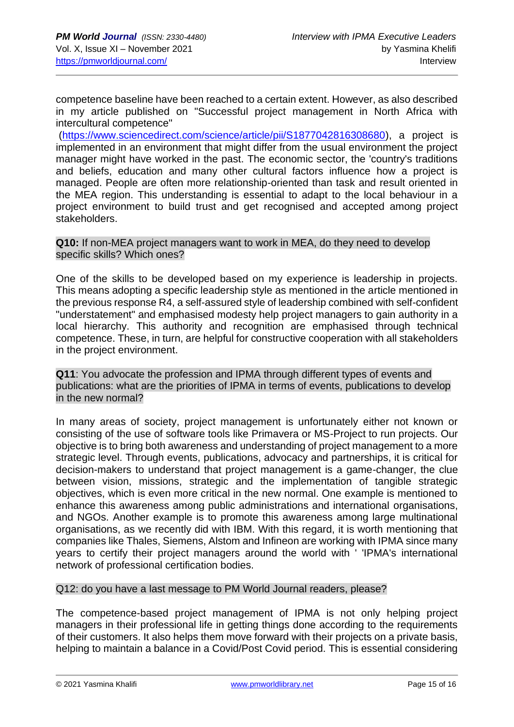competence baseline have been reached to a certain extent. However, as also described in my article published on "Successful project management in North Africa with intercultural competence"

[\(https://www.sciencedirect.com/science/article/pii/S1877042816308680\)](https://www.sciencedirect.com/science/article/pii/S1877042816308680), a project is implemented in an environment that might differ from the usual environment the project manager might have worked in the past. The economic sector, the 'country's traditions and beliefs, education and many other cultural factors influence how a project is managed. People are often more relationship-oriented than task and result oriented in the MEA region. This understanding is essential to adapt to the local behaviour in a project environment to build trust and get recognised and accepted among project stakeholders.

#### **Q10:** If non-MEA project managers want to work in MEA, do they need to develop specific skills? Which ones?

One of the skills to be developed based on my experience is leadership in projects. This means adopting a specific leadership style as mentioned in the article mentioned in the previous response R4, a self-assured style of leadership combined with self-confident "understatement" and emphasised modesty help project managers to gain authority in a local hierarchy. This authority and recognition are emphasised through technical competence. These, in turn, are helpful for constructive cooperation with all stakeholders in the project environment.

**Q11**: You advocate the profession and IPMA through different types of events and publications: what are the priorities of IPMA in terms of events, publications to develop in the new normal?

In many areas of society, project management is unfortunately either not known or consisting of the use of software tools like Primavera or MS-Project to run projects. Our objective is to bring both awareness and understanding of project management to a more strategic level. Through events, publications, advocacy and partnerships, it is critical for decision-makers to understand that project management is a game-changer, the clue between vision, missions, strategic and the implementation of tangible strategic objectives, which is even more critical in the new normal. One example is mentioned to enhance this awareness among public administrations and international organisations, and NGOs. Another example is to promote this awareness among large multinational organisations, as we recently did with IBM. With this regard, it is worth mentioning that companies like Thales, Siemens, Alstom and Infineon are working with IPMA since many years to certify their project managers around the world with ' 'IPMA's international network of professional certification bodies.

#### Q12: do you have a last message to PM World Journal readers, please?

The competence-based project management of IPMA is not only helping project managers in their professional life in getting things done according to the requirements of their customers. It also helps them move forward with their projects on a private basis, helping to maintain a balance in a Covid/Post Covid period. This is essential considering